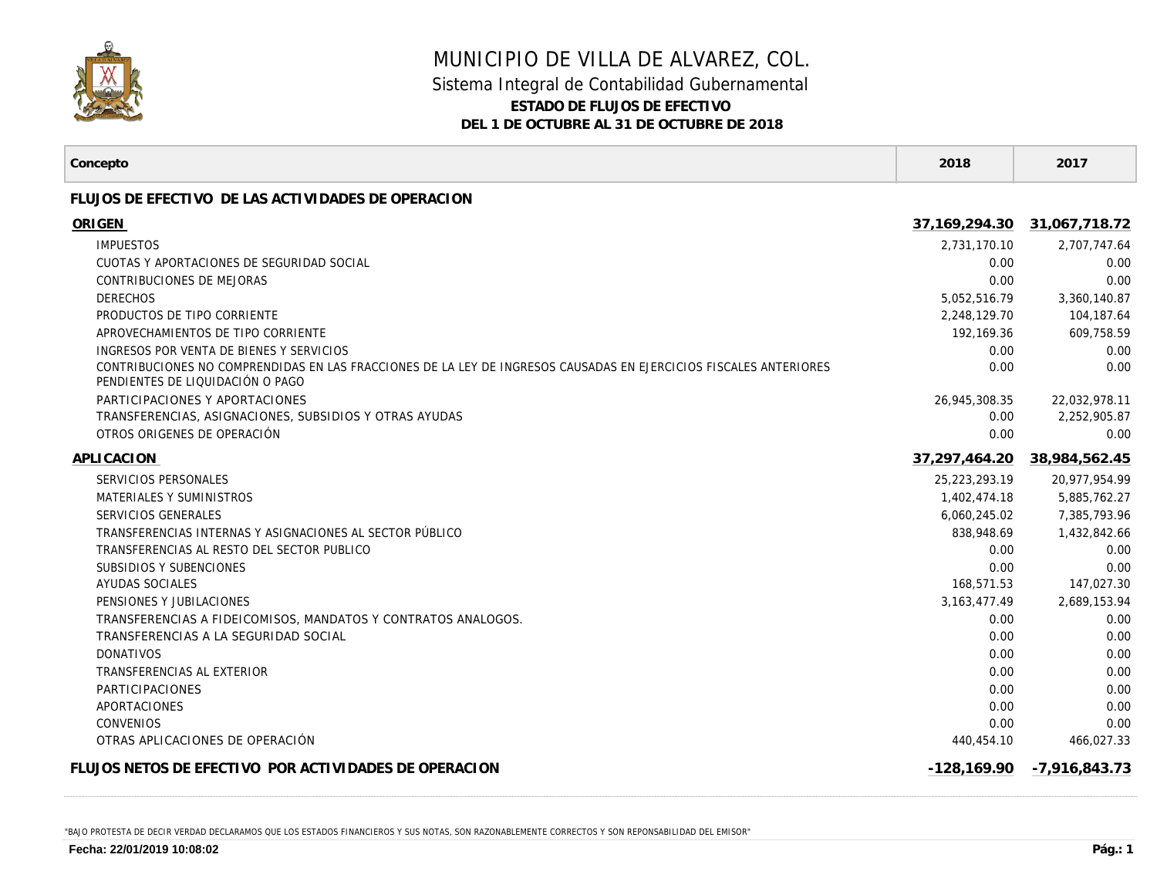

## MUNICIPIO DE VILLA DE ALVAREZ, COL. Sistema Integral de Contabilidad Gubernamental **ESTADO DE FLUJOS DE EFECTIVO DEL 1 DE OCTUBRE AL 31 DE OCTUBRE DE 2018**

| Concepto                                                                                                                                              | 2018             | 2017          |
|-------------------------------------------------------------------------------------------------------------------------------------------------------|------------------|---------------|
| FLUJOS DE EFECTIVO DE LAS ACTIVIDADES DE OPERACION                                                                                                    |                  |               |
| ORIGEN                                                                                                                                                | 37, 169, 294. 30 | 31,067,718.72 |
| <b>IMPUESTOS</b>                                                                                                                                      | 2.731.170.10     | 2,707,747.64  |
| CUOTAS Y APORTACIONES DE SEGURIDAD SOCIAL                                                                                                             | 0.00             | 0.00          |
| <b>CONTRIBUCIONES DE MEJORAS</b>                                                                                                                      | 0.00             | 0.00          |
| <b>DERECHOS</b>                                                                                                                                       | 5,052,516.79     | 3,360,140.87  |
| PRODUCTOS DE TIPO CORRIENTE                                                                                                                           | 2.248.129.70     | 104,187.64    |
| APROVECHAMIENTOS DE TIPO CORRIENTE                                                                                                                    | 192,169.36       | 609,758.59    |
| INGRESOS POR VENTA DE BIENES Y SERVICIOS                                                                                                              | 0.00             | 0.00          |
| CONTRIBUCIONES NO COMPRENDIDAS EN LAS FRACCIONES DE LA LEY DE INGRESOS CAUSADAS EN EJERCICIOS FISCALES ANTERIORES<br>PENDIENTES DE LIQUIDACIÓN O PAGO | 0.00             | 0.00          |
| PARTICIPACIONES Y APORTACIONES                                                                                                                        | 26,945,308.35    | 22,032,978.11 |
| TRANSFERENCIAS, ASIGNACIONES, SUBSIDIOS Y OTRAS AYUDAS                                                                                                | 0.00             | 2,252,905.87  |
| OTROS ORIGENES DE OPERACIÓN                                                                                                                           | 0.00             | 0.00          |
| APLICACION                                                                                                                                            | 37,297,464.20    | 38,984,562.45 |
| SERVICIOS PERSONALES                                                                                                                                  | 25,223,293.19    | 20.977.954.99 |
| MATERIALES Y SUMINISTROS                                                                                                                              | 1,402,474.18     | 5,885,762.27  |
| SERVICIOS GENERALES                                                                                                                                   | 6.060.245.02     | 7,385,793.96  |
| TRANSFERENCIAS INTERNAS Y ASIGNACIONES AL SECTOR PÚBLICO                                                                                              | 838,948.69       | 1,432,842.66  |
| TRANSFERENCIAS AL RESTO DEL SECTOR PUBLICO                                                                                                            | 0.00             | 0.00          |
| SUBSIDIOS Y SUBENCIONES                                                                                                                               | 0.00             | 0.00          |
| AYUDAS SOCIALES                                                                                                                                       | 168,571.53       | 147,027.30    |
| PENSIONES Y JUBILACIONES                                                                                                                              | 3, 163, 477. 49  | 2,689,153.94  |
| TRANSFERENCIAS A FIDEICOMISOS, MANDATOS Y CONTRATOS ANALOGOS.                                                                                         | 0.00             | 0.00          |
| TRANSFERENCIAS A LA SEGURIDAD SOCIAL                                                                                                                  | 0.00             | 0.00          |
| <b>DONATIVOS</b>                                                                                                                                      | 0.00             | 0.00          |
| TRANSFERENCIAS AL EXTERIOR                                                                                                                            | 0.00             | 0.00          |
| PARTICIPACIONES                                                                                                                                       | 0.00             | 0.00          |
| APORTACIONES                                                                                                                                          | 0.00             | 0.00          |
| <b>CONVENIOS</b>                                                                                                                                      | 0.00             | 0.00          |
| OTRAS APLICACIONES DE OPERACIÓN                                                                                                                       | 440,454.10       | 466,027.33    |
| FLUJOS NETOS DE EFECTIVO POR ACTIVIDADES DE OPERACION                                                                                                 | $-128,169.90$    | -7,916,843.73 |

"BAJO PROTESTA DE DECIR VERDAD DECLARAMOS QUE LOS ESTADOS FINANCIEROS Y SUS NOTAS, SON RAZONABLEMENTE CORRECTOS Y SON REPONSABILIDAD DEL EMISOR"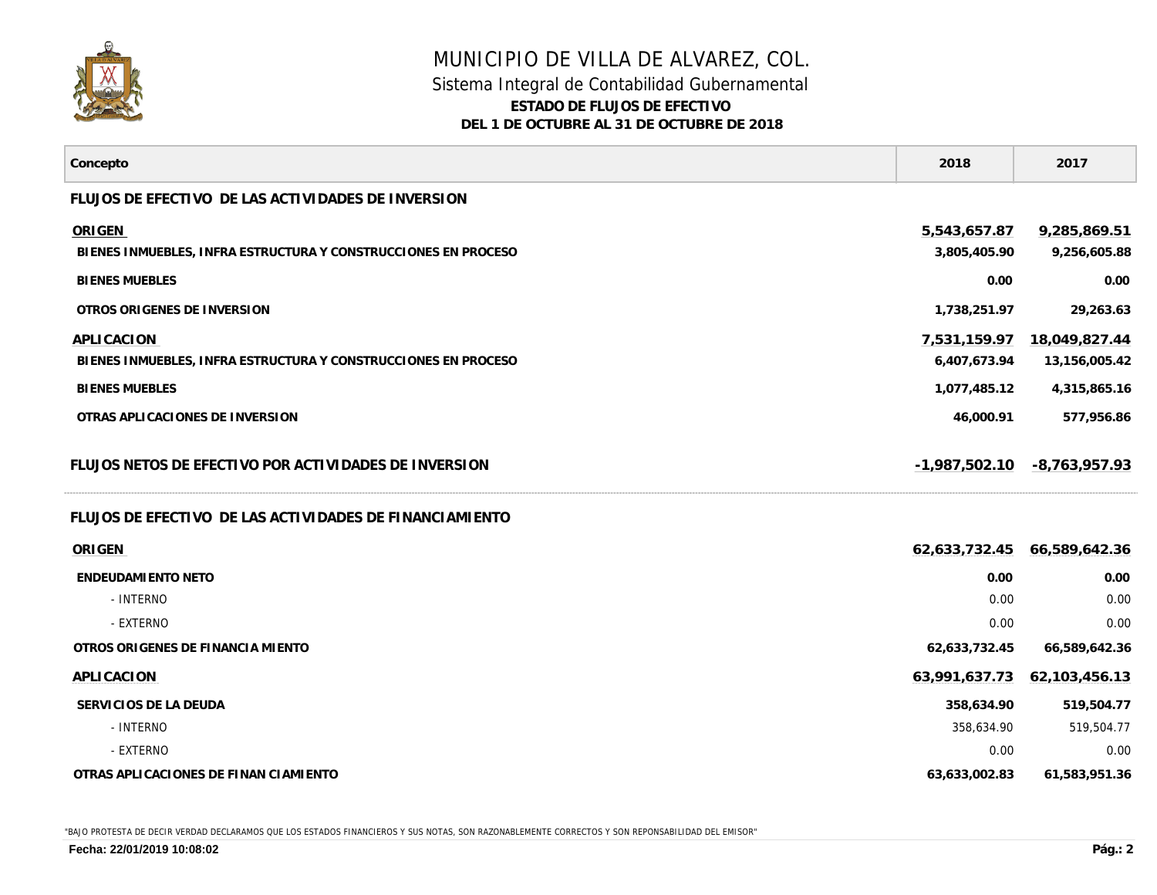

## MUNICIPIO DE VILLA DE ALVAREZ, COL. Sistema Integral de Contabilidad Gubernamental **ESTADO DE FLUJOS DE EFECTIVO DEL 1 DE OCTUBRE AL 31 DE OCTUBRE DE 2018**

| Concepto                                                                        | 2018                         | 2017                           |
|---------------------------------------------------------------------------------|------------------------------|--------------------------------|
| FLUJOS DE EFECTIVO DE LAS ACTIVIDADES DE INVERSION                              |                              |                                |
| <b>ORIGEN</b><br>BIENES INMUEBLES, INFRA ESTRUCTURA Y CONSTRUCCIONES EN PROCESO | 5,543,657.87<br>3,805,405.90 | 9,285,869.51<br>9,256,605.88   |
| <b>BIENES MUEBLES</b>                                                           | 0.00                         | 0.00                           |
| OTROS ORIGENES DE INVERSION                                                     | 1,738,251.97                 | 29,263.63                      |
| APLICACION<br>BIENES INMUEBLES, INFRA ESTRUCTURA Y CONSTRUCCIONES EN PROCESO    | 7,531,159.97<br>6,407,673.94 | 18,049,827.44<br>13,156,005.42 |
| <b>BIENES MUEBLES</b>                                                           | 1,077,485.12                 | 4,315,865.16                   |
| OTRAS APLICACIONES DE INVERSION                                                 | 46,000.91                    | 577,956.86                     |
| FLUJOS NETOS DE EFECTIVO POR ACTIVIDADES DE INVERSION                           | $-1,987,502.10$              | $-8,763,957.93$                |
| FLUJOS DE EFECTIVO DE LAS ACTIVIDADES DE FINANCIAMIENTO                         |                              |                                |
| ORIGEN                                                                          | 62,633,732.45                | 66,589,642.36                  |
| <b>ENDEUDAMIENTO NETO</b>                                                       | 0.00                         | 0.00                           |
| - INTERNO                                                                       | 0.00                         | 0.00                           |
| - EXTERNO                                                                       | 0.00                         | 0.00                           |
| OTROS ORIGENES DE FINANCIA MIENTO                                               | 62,633,732.45                | 66,589,642.36                  |
| APLICACION                                                                      | 63,991,637.73                | 62,103,456.13                  |
| SERVICIOS DE LA DEUDA                                                           | 358,634.90                   | 519,504.77                     |
| - INTERNO                                                                       | 358,634.90                   | 519,504.77                     |
| - EXTERNO                                                                       | 0.00                         | 0.00                           |
| OTRAS APLICACIONES DE FINAN CIAMIENTO                                           | 63,633,002.83                | 61,583,951.36                  |

"BAJO PROTESTA DE DECIR VERDAD DECLARAMOS QUE LOS ESTADOS FINANCIEROS Y SUS NOTAS, SON RAZONABLEMENTE CORRECTOS Y SON REPONSABILIDAD DEL EMISOR"